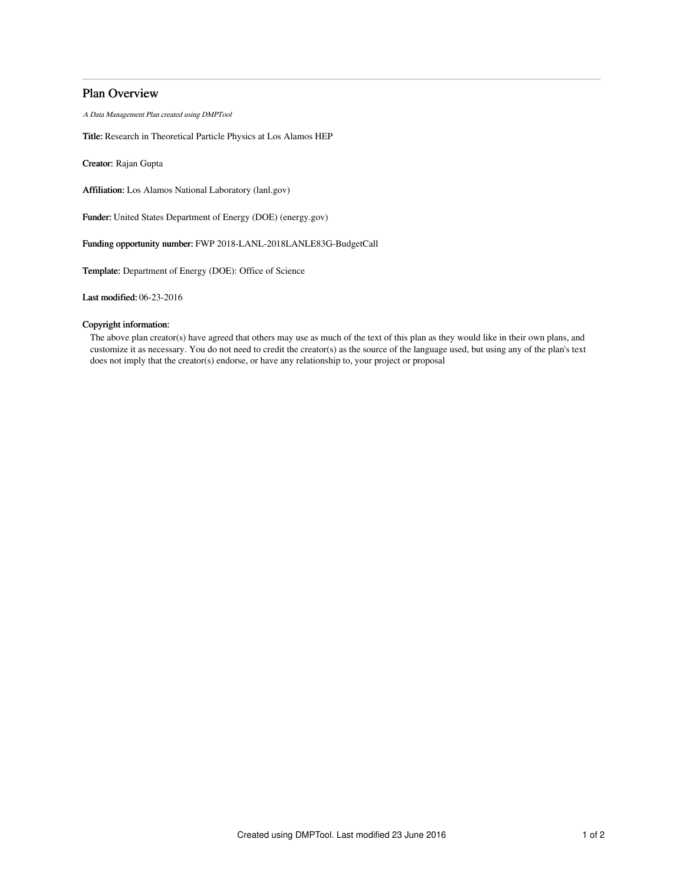# Plan Overview

A Data Management Plan created using DMPTool

Title: Research in Theoretical Particle Physics at Los Alamos HEP

Creator: Rajan Gupta

Affiliation: Los Alamos National Laboratory (lanl.gov)

Funder: United States Department of Energy (DOE) (energy.gov)

Funding opportunity number: FWP 2018-LANL-2018LANLE83G-BudgetCall

Template: Department of Energy (DOE): Office of Science

Last modified: 06-23-2016

# Copyright information:

The above plan creator(s) have agreed that others may use as much of the text of this plan as they would like in their own plans, and customize it as necessary. You do not need to credit the creator(s) as the source of the language used, but using any of the plan's text does not imply that the creator(s) endorse, or have any relationship to, your project or proposal